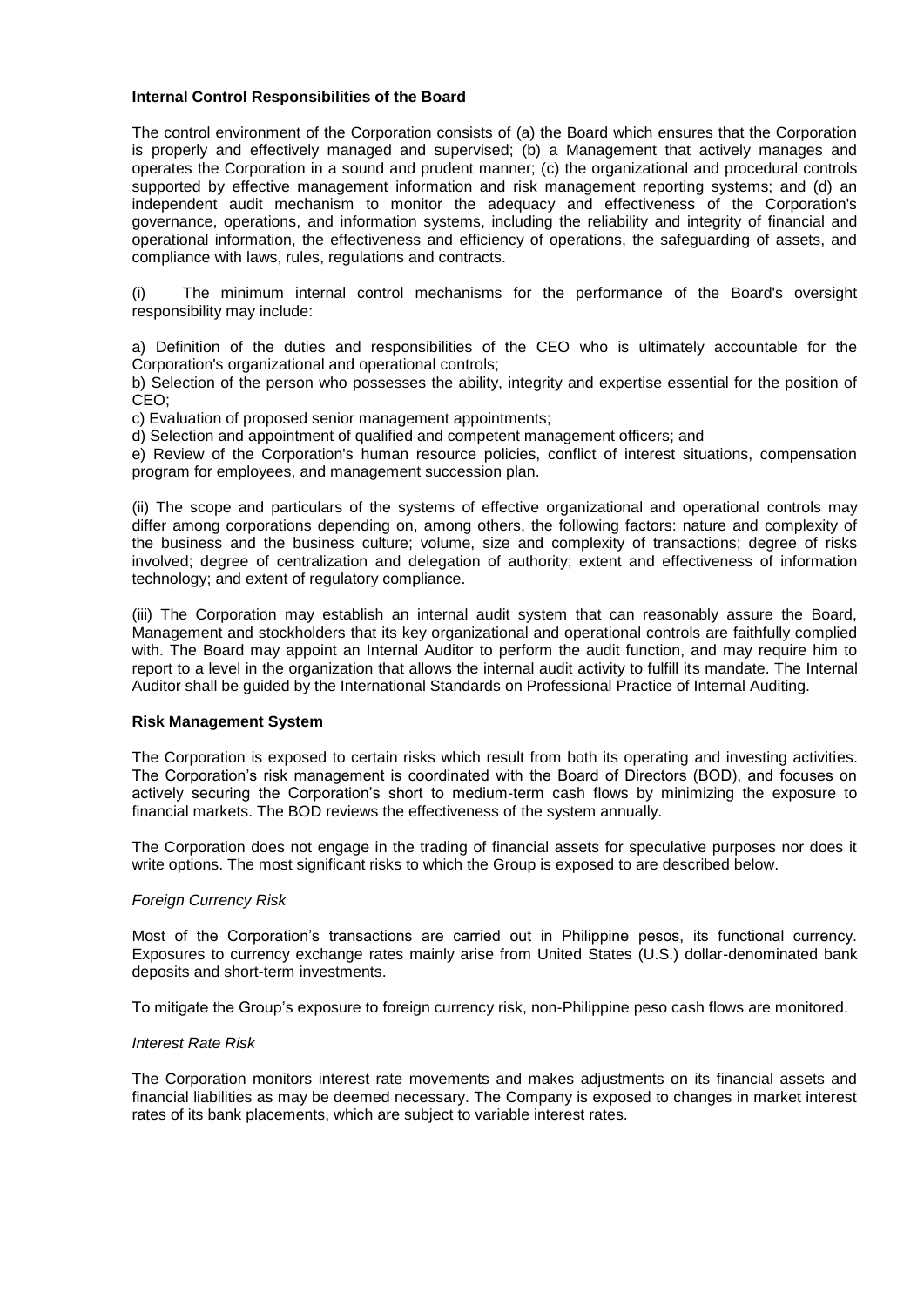# **Internal Control Responsibilities of the Board**

The control environment of the Corporation consists of (a) the Board which ensures that the Corporation is properly and effectively managed and supervised; (b) a Management that actively manages and operates the Corporation in a sound and prudent manner; (c) the organizational and procedural controls supported by effective management information and risk management reporting systems; and (d) an independent audit mechanism to monitor the adequacy and effectiveness of the Corporation's governance, operations, and information systems, including the reliability and integrity of financial and operational information, the effectiveness and efficiency of operations, the safeguarding of assets, and compliance with laws, rules, regulations and contracts.

(i) The minimum internal control mechanisms for the performance of the Board's oversight responsibility may include:

a) Definition of the duties and responsibilities of the CEO who is ultimately accountable for the Corporation's organizational and operational controls;

b) Selection of the person who possesses the ability, integrity and expertise essential for the position of CEO;

c) Evaluation of proposed senior management appointments;

d) Selection and appointment of qualified and competent management officers; and

e) Review of the Corporation's human resource policies, conflict of interest situations, compensation program for employees, and management succession plan.

(ii) The scope and particulars of the systems of effective organizational and operational controls may differ among corporations depending on, among others, the following factors: nature and complexity of the business and the business culture; volume, size and complexity of transactions; degree of risks involved; degree of centralization and delegation of authority; extent and effectiveness of information technology; and extent of regulatory compliance.

(iii) The Corporation may establish an internal audit system that can reasonably assure the Board, Management and stockholders that its key organizational and operational controls are faithfully complied with. The Board may appoint an Internal Auditor to perform the audit function, and may require him to report to a level in the organization that allows the internal audit activity to fulfill its mandate. The Internal Auditor shall be guided by the International Standards on Professional Practice of Internal Auditing.

## **Risk Management System**

The Corporation is exposed to certain risks which result from both its operating and investing activities. The Corporation's risk management is coordinated with the Board of Directors (BOD), and focuses on actively securing the Corporation's short to medium-term cash flows by minimizing the exposure to financial markets. The BOD reviews the effectiveness of the system annually.

The Corporation does not engage in the trading of financial assets for speculative purposes nor does it write options. The most significant risks to which the Group is exposed to are described below.

### *Foreign Currency Risk*

Most of the Corporation's transactions are carried out in Philippine pesos, its functional currency. Exposures to currency exchange rates mainly arise from United States (U.S.) dollar-denominated bank deposits and short-term investments.

To mitigate the Group's exposure to foreign currency risk, non-Philippine peso cash flows are monitored.

### *Interest Rate Risk*

The Corporation monitors interest rate movements and makes adjustments on its financial assets and financial liabilities as may be deemed necessary. The Company is exposed to changes in market interest rates of its bank placements, which are subject to variable interest rates.